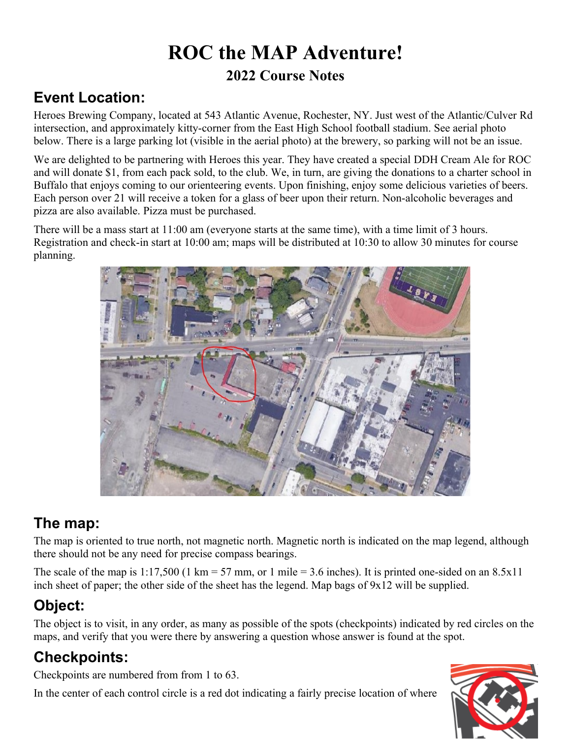# **ROC the MAP Adventure! 2022 Course Notes**

## **Event Location:**

Heroes Brewing Company, located at 543 Atlantic Avenue, Rochester, NY. Just west of the Atlantic/Culver Rd intersection, and approximately kitty-corner from the East High School football stadium. See aerial photo below. There is a large parking lot (visible in the aerial photo) at the brewery, so parking will not be an issue.

We are delighted to be partnering with Heroes this year. They have created a special DDH Cream Ale for ROC and will donate \$1, from each pack sold, to the club. We, in turn, are giving the donations to a charter school in Buffalo that enjoys coming to our orienteering events. Upon finishing, enjoy some delicious varieties of beers. Each person over 21 will receive a token for a glass of beer upon their return. Non-alcoholic beverages and pizza are also available. Pizza must be purchased.

There will be a mass start at 11:00 am (everyone starts at the same time), with a time limit of 3 hours. Registration and check-in start at 10:00 am; maps will be distributed at 10:30 to allow 30 minutes for course planning.



## **The map:**

The map is oriented to true north, not magnetic north. Magnetic north is indicated on the map legend, although there should not be any need for precise compass bearings.

The scale of the map is  $1:17,500$  (1 km = 57 mm, or 1 mile = 3.6 inches). It is printed one-sided on an 8.5x11 inch sheet of paper; the other side of the sheet has the legend. Map bags of 9x12 will be supplied.

# **Object:**

The object is to visit, in any order, as many as possible of the spots (checkpoints) indicated by red circles on the maps, and verify that you were there by answering a question whose answer is found at the spot.

# **Checkpoints:**

Checkpoints are numbered from from 1 to 63.

In the center of each control circle is a red dot indicating a fairly precise location of where

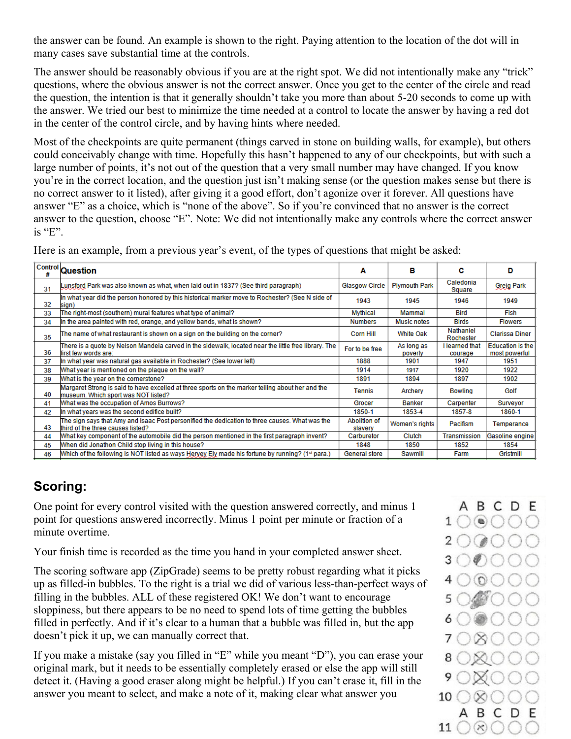the answer can be found. An example is shown to the right. Paying attention to the location of the dot will in many cases save substantial time at the controls.

The answer should be reasonably obvious if you are at the right spot. We did not intentionally make any "trick" questions, where the obvious answer is not the correct answer. Once you get to the center of the circle and read the question, the intention is that it generally shouldn't take you more than about 5-20 seconds to come up with the answer. We tried our best to minimize the time needed at a control to locate the answer by having a red dot in the center of the control circle, and by having hints where needed.

Most of the checkpoints are quite permanent (things carved in stone on building walls, for example), but others could conceivably change with time. Hopefully this hasn't happened to any of our checkpoints, but with such a large number of points, it's not out of the question that a very small number may have changed. If you know you're in the correct location, and the question just isn't making sense (or the question makes sense but there is no correct answer to it listed), after giving it a good effort, don't agonize over it forever. All questions have answer "E" as a choice, which is "none of the above". So if you're convinced that no answer is the correct answer to the question, choose "E". Note: We did not intentionally make any controls where the correct answer is "E".

Here is an example, from a previous year's event, of the types of questions that might be asked:

|    | Control Question                                                                                                                        | Α                       | в                     | с                         | D                                        |
|----|-----------------------------------------------------------------------------------------------------------------------------------------|-------------------------|-----------------------|---------------------------|------------------------------------------|
| 31 | Lunsford Park was also known as what, when laid out in 1837? (See third paragraph).                                                     | <b>Glasgow Circle</b>   | <b>Plymouth Park</b>  | Caledonia<br>Square       | <b>Greig Park</b>                        |
| 32 | In what year did the person honored by this historical marker move to Rochester? (See N side of<br>sign)                                | 1943                    | 1945                  | 1946                      | 1949                                     |
| 33 | The right-most (southern) mural features what type of animal?                                                                           | <b>Mythical</b>         | Mammal                | Bird                      | Fish                                     |
| 34 | In the area painted with red, orange, and yellow bands, what is shown?                                                                  | <b>Numbers</b>          | <b>Music notes</b>    | <b>Birds</b>              | <b>Flowers</b>                           |
| 35 | The name of what restaurant is shown on a sign on the building on the corner?                                                           | <b>Corn Hill</b>        | White Oak             | Nathaniel<br>Rochester    | <b>Clarissa Diner</b>                    |
| 36 | There is a quote by Nelson Mandela carved in the sidewalk, located near the little free library. The<br>first few words are:            | For to be free          | As long as<br>poverty | I learned that<br>courage | <b>Education is the</b><br>most powerful |
| 37 | In what year was natural gas available in Rochester? (See lower left)                                                                   | 1888                    | 1901                  | 1947                      | 1951                                     |
| 38 | What year is mentioned on the plague on the wall?                                                                                       | 1914                    | 1917                  | 1920                      | 1922                                     |
| 39 | What is the year on the cornerstone?                                                                                                    | 1891                    | 1894                  | 1897                      | 1902                                     |
| 40 | Margaret Strong is said to have excelled at three sports on the marker telling about her and the<br>museum. Which sport was NOT listed? | <b>Tennis</b>           | Archery               | <b>Bowling</b>            | Golf                                     |
| 41 | What was the occupation of Amos Burrows?                                                                                                | Grocer                  | <b>Banker</b>         | Carpenter                 | <b>Surveyor</b>                          |
| 42 | In what years was the second edifice built?                                                                                             | 1850-1                  | 1853-4                | 1857-8                    | 1860-1                                   |
| 43 | The sign says that Amy and Isaac Post personified the dedication to three causes. What was the<br>third of the three causes listed?     | Abolition of<br>slavery | Women's rights        | Pacifism                  | Temperance                               |
| 44 | What key component of the automobile did the person mentioned in the first paragraph invent?                                            | Carburetor              | Clutch                | <b>Transmission</b>       | Gasoline engine                          |
| 45 | When did Jonathon Child stop living in this house?                                                                                      | 1848                    | 1850                  | 1852                      | 1854                                     |
| 46 | (1st para) Muslem by the following is NOT listed as ways Heryey Ely made his fortune by running? (1st                                   | <b>General store</b>    | Sawmill               | Farm                      | Gristmill                                |

#### **Scoring:**

One point for every control visited with the question answered correctly, and minus 1 point for questions answered incorrectly. Minus 1 point per minute or fraction of a minute overtime.

Your finish time is recorded as the time you hand in your completed answer sheet.

The scoring software app (ZipGrade) seems to be pretty robust regarding what it picks up as filled-in bubbles. To the right is a trial we did of various less-than-perfect ways of filling in the bubbles. ALL of these registered OK! We don't want to encourage sloppiness, but there appears to be no need to spend lots of time getting the bubbles filled in perfectly. And if it's clear to a human that a bubble was filled in, but the app doesn't pick it up, we can manually correct that.

If you make a mistake (say you filled in "E" while you meant "D"), you can erase your original mark, but it needs to be essentially completely erased or else the app will still detect it. (Having a good eraser along might be helpful.) If you can't erase it, fill in the answer you meant to select, and make a note of it, making clear what answer you

ABCDE  $\odot$   $\odot$   $\odot$  $1()$ 10 ABCDE 11  $\bigcirc$   $\otimes$   $\bigcirc$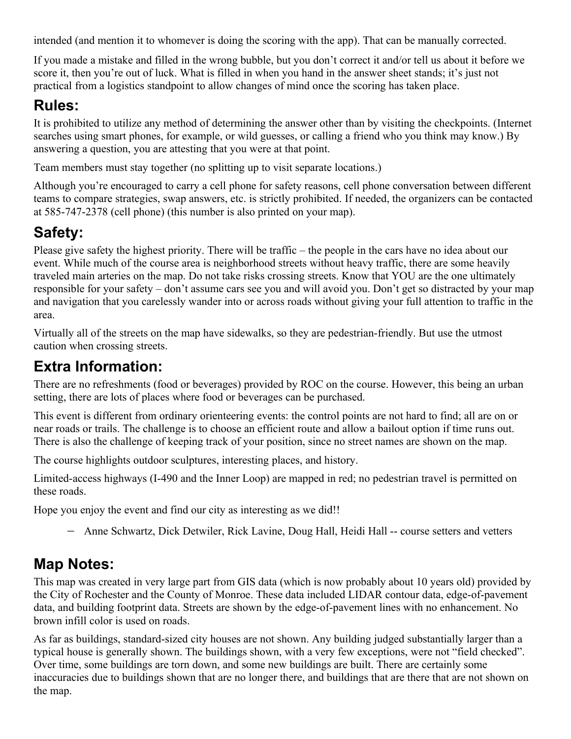intended (and mention it to whomever is doing the scoring with the app). That can be manually corrected.

If you made a mistake and filled in the wrong bubble, but you don't correct it and/or tell us about it before we score it, then you're out of luck. What is filled in when you hand in the answer sheet stands; it's just not practical from a logistics standpoint to allow changes of mind once the scoring has taken place.

## **Rules:**

It is prohibited to utilize any method of determining the answer other than by visiting the checkpoints. (Internet searches using smart phones, for example, or wild guesses, or calling a friend who you think may know.) By answering a question, you are attesting that you were at that point.

Team members must stay together (no splitting up to visit separate locations.)

Although you're encouraged to carry a cell phone for safety reasons, cell phone conversation between different teams to compare strategies, swap answers, etc. is strictly prohibited. If needed, the organizers can be contacted at 585-747-2378 (cell phone) (this number is also printed on your map).

## **Safety:**

Please give safety the highest priority. There will be traffic – the people in the cars have no idea about our event. While much of the course area is neighborhood streets without heavy traffic, there are some heavily traveled main arteries on the map. Do not take risks crossing streets. Know that YOU are the one ultimately responsible for your safety – don't assume cars see you and will avoid you. Don't get so distracted by your map and navigation that you carelessly wander into or across roads without giving your full attention to traffic in the area.

Virtually all of the streets on the map have sidewalks, so they are pedestrian-friendly. But use the utmost caution when crossing streets.

## **Extra Information:**

There are no refreshments (food or beverages) provided by ROC on the course. However, this being an urban setting, there are lots of places where food or beverages can be purchased.

This event is different from ordinary orienteering events: the control points are not hard to find; all are on or near roads or trails. The challenge is to choose an efficient route and allow a bailout option if time runs out. There is also the challenge of keeping track of your position, since no street names are shown on the map.

The course highlights outdoor sculptures, interesting places, and history.

Limited-access highways (I-490 and the Inner Loop) are mapped in red; no pedestrian travel is permitted on these roads.

Hope you enjoy the event and find our city as interesting as we did!!

Anne Schwartz, Dick Detwiler, Rick Lavine, Doug Hall, Heidi Hall -- course setters and vetters

## **Map Notes:**

This map was created in very large part from GIS data (which is now probably about 10 years old) provided by the City of Rochester and the County of Monroe. These data included LIDAR contour data, edge-of-pavement data, and building footprint data. Streets are shown by the edge-of-pavement lines with no enhancement. No brown infill color is used on roads.

As far as buildings, standard-sized city houses are not shown. Any building judged substantially larger than a typical house is generally shown. The buildings shown, with a very few exceptions, were not "field checked". Over time, some buildings are torn down, and some new buildings are built. There are certainly some inaccuracies due to buildings shown that are no longer there, and buildings that are there that are not shown on the map.